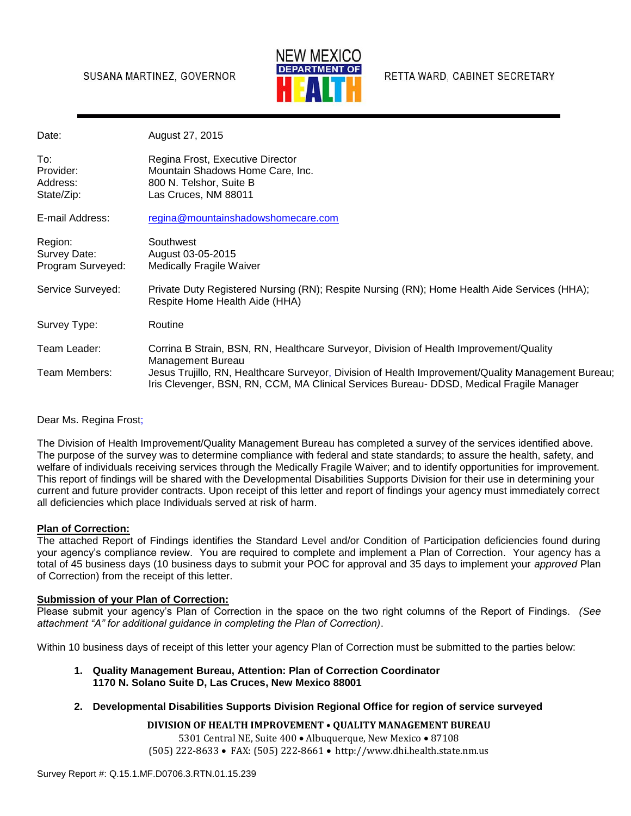#### SUSANA MARTINEZ, GOVERNOR



RETTA WARD, CABINET SECRETARY

| Date:                                        | August 27, 2015                                                                                                                                                                                |
|----------------------------------------------|------------------------------------------------------------------------------------------------------------------------------------------------------------------------------------------------|
| To:<br>Provider:<br>Address:<br>State/Zip:   | Regina Frost, Executive Director<br>Mountain Shadows Home Care, Inc.<br>800 N. Telshor, Suite B<br>Las Cruces, NM 88011                                                                        |
| E-mail Address:                              | regina@mountainshadowshomecare.com                                                                                                                                                             |
| Region:<br>Survey Date:<br>Program Surveyed: | Southwest<br>August 03-05-2015<br><b>Medically Fragile Waiver</b>                                                                                                                              |
| Service Surveyed:                            | Private Duty Registered Nursing (RN); Respite Nursing (RN); Home Health Aide Services (HHA);<br>Respite Home Health Aide (HHA)                                                                 |
| Survey Type:                                 | Routine                                                                                                                                                                                        |
| Team Leader:                                 | Corrina B Strain, BSN, RN, Healthcare Surveyor, Division of Health Improvement/Quality<br>Management Bureau                                                                                    |
| Team Members:                                | Jesus Trujillo, RN, Healthcare Surveyor, Division of Health Improvement/Quality Management Bureau;<br>Iris Clevenger, BSN, RN, CCM, MA Clinical Services Bureau- DDSD, Medical Fragile Manager |

#### Dear Ms. Regina Frost;

The Division of Health Improvement/Quality Management Bureau has completed a survey of the services identified above. The purpose of the survey was to determine compliance with federal and state standards; to assure the health, safety, and welfare of individuals receiving services through the Medically Fragile Waiver; and to identify opportunities for improvement. This report of findings will be shared with the Developmental Disabilities Supports Division for their use in determining your current and future provider contracts. Upon receipt of this letter and report of findings your agency must immediately correct all deficiencies which place Individuals served at risk of harm.

#### **Plan of Correction:**

The attached Report of Findings identifies the Standard Level and/or Condition of Participation deficiencies found during your agency's compliance review. You are required to complete and implement a Plan of Correction. Your agency has a total of 45 business days (10 business days to submit your POC for approval and 35 days to implement your *approved* Plan of Correction) from the receipt of this letter.

#### **Submission of your Plan of Correction:**

Please submit your agency's Plan of Correction in the space on the two right columns of the Report of Findings. *(See attachment "A" for additional guidance in completing the Plan of Correction)*.

Within 10 business days of receipt of this letter your agency Plan of Correction must be submitted to the parties below:

- **1. Quality Management Bureau, Attention: Plan of Correction Coordinator 1170 N. Solano Suite D, Las Cruces, New Mexico 88001**
- **2. Developmental Disabilities Supports Division Regional Office for region of service surveyed**

#### **DIVISION OF HEALTH IMPROVEMENT • QUALITY MANAGEMENT BUREAU**

5301 Central NE, Suite 400 · Albuquerque, New Mexico · 87108 (505) 222-8633 FAX: (505) 222-8661 http://www.dhi.health.state.nm.us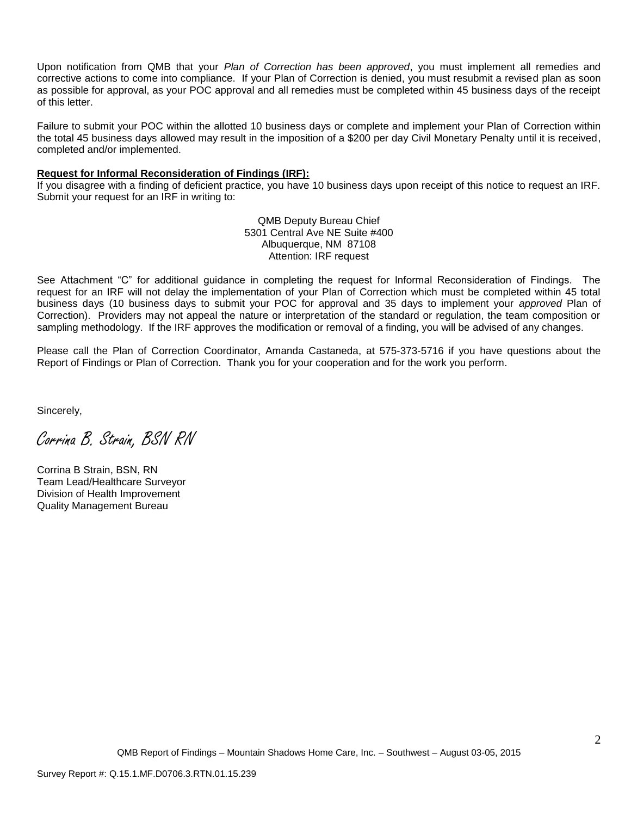Upon notification from QMB that your *Plan of Correction has been approved*, you must implement all remedies and corrective actions to come into compliance. If your Plan of Correction is denied, you must resubmit a revised plan as soon as possible for approval, as your POC approval and all remedies must be completed within 45 business days of the receipt of this letter.

Failure to submit your POC within the allotted 10 business days or complete and implement your Plan of Correction within the total 45 business days allowed may result in the imposition of a \$200 per day Civil Monetary Penalty until it is received, completed and/or implemented.

#### **Request for Informal Reconsideration of Findings (IRF):**

If you disagree with a finding of deficient practice, you have 10 business days upon receipt of this notice to request an IRF. Submit your request for an IRF in writing to:

> QMB Deputy Bureau Chief 5301 Central Ave NE Suite #400 Albuquerque, NM 87108 Attention: IRF request

See Attachment "C" for additional guidance in completing the request for Informal Reconsideration of Findings. The request for an IRF will not delay the implementation of your Plan of Correction which must be completed within 45 total business days (10 business days to submit your POC for approval and 35 days to implement your *approved* Plan of Correction). Providers may not appeal the nature or interpretation of the standard or regulation, the team composition or sampling methodology. If the IRF approves the modification or removal of a finding, you will be advised of any changes.

Please call the Plan of Correction Coordinator, Amanda Castaneda, at 575-373-5716 if you have questions about the Report of Findings or Plan of Correction. Thank you for your cooperation and for the work you perform.

Sincerely,

Corrina B. Strain, BSN RN

Corrina B Strain, BSN, RN Team Lead/Healthcare Surveyor Division of Health Improvement Quality Management Bureau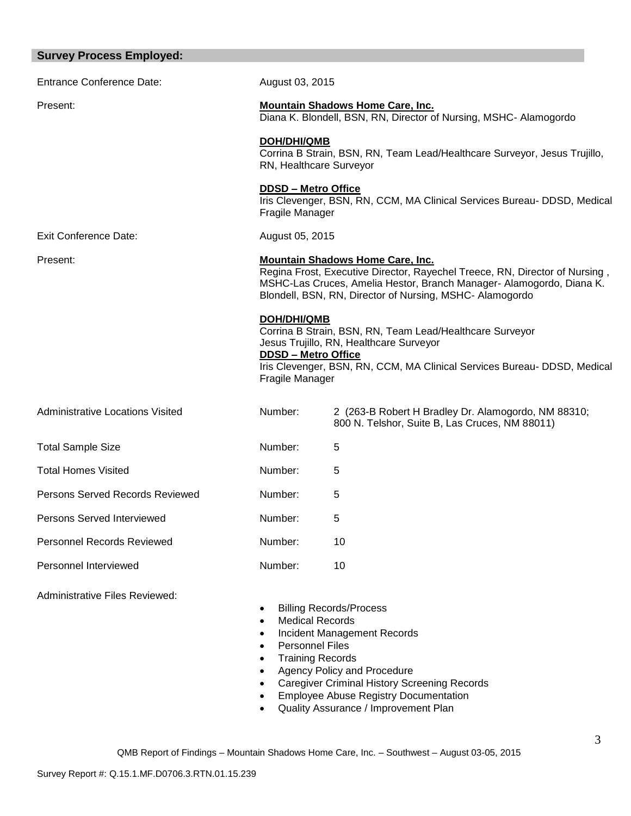| <b>Survey Process Employed:</b>         |                                                              |                                                                                                                                                                                                                                                            |
|-----------------------------------------|--------------------------------------------------------------|------------------------------------------------------------------------------------------------------------------------------------------------------------------------------------------------------------------------------------------------------------|
| <b>Entrance Conference Date:</b>        | August 03, 2015                                              |                                                                                                                                                                                                                                                            |
| Present:                                |                                                              | <b>Mountain Shadows Home Care, Inc.</b><br>Diana K. Blondell, BSN, RN, Director of Nursing, MSHC- Alamogordo                                                                                                                                               |
|                                         | <b>DOH/DHI/QMB</b><br>RN, Healthcare Surveyor                | Corrina B Strain, BSN, RN, Team Lead/Healthcare Surveyor, Jesus Trujillo,                                                                                                                                                                                  |
|                                         | <b>DDSD - Metro Office</b><br>Fragile Manager                | Iris Clevenger, BSN, RN, CCM, MA Clinical Services Bureau- DDSD, Medical                                                                                                                                                                                   |
| <b>Exit Conference Date:</b>            | August 05, 2015                                              |                                                                                                                                                                                                                                                            |
| Present:                                |                                                              | <b>Mountain Shadows Home Care, Inc.</b><br>Regina Frost, Executive Director, Rayechel Treece, RN, Director of Nursing,<br>MSHC-Las Cruces, Amelia Hestor, Branch Manager- Alamogordo, Diana K.<br>Blondell, BSN, RN, Director of Nursing, MSHC- Alamogordo |
|                                         | DOH/DHI/QMB<br><b>DDSD - Metro Office</b><br>Fragile Manager | Corrina B Strain, BSN, RN, Team Lead/Healthcare Surveyor<br>Jesus Trujillo, RN, Healthcare Surveyor<br>Iris Clevenger, BSN, RN, CCM, MA Clinical Services Bureau- DDSD, Medical                                                                            |
| <b>Administrative Locations Visited</b> | Number:                                                      | 2 (263-B Robert H Bradley Dr. Alamogordo, NM 88310;<br>800 N. Telshor, Suite B, Las Cruces, NM 88011)                                                                                                                                                      |
| <b>Total Sample Size</b>                | Number:                                                      | 5                                                                                                                                                                                                                                                          |
| <b>Total Homes Visited</b>              | Number:                                                      | 5                                                                                                                                                                                                                                                          |
| Persons Served Records Reviewed         | Number:                                                      | 5                                                                                                                                                                                                                                                          |
| Persons Served Interviewed              | Number:                                                      | 5                                                                                                                                                                                                                                                          |
| <b>Personnel Records Reviewed</b>       | Number:                                                      | 10                                                                                                                                                                                                                                                         |
| Personnel Interviewed                   | Number:                                                      | 10                                                                                                                                                                                                                                                         |
| Administrative Files Reviewed:          | Medical Records                                              | <b>Billing Records/Process</b>                                                                                                                                                                                                                             |

- Medical Records
- Incident Management Records
- Personnel Files
- Training Records
- Agency Policy and Procedure
- Caregiver Criminal History Screening Records
- **•** Employee Abuse Registry Documentation
- Quality Assurance / Improvement Plan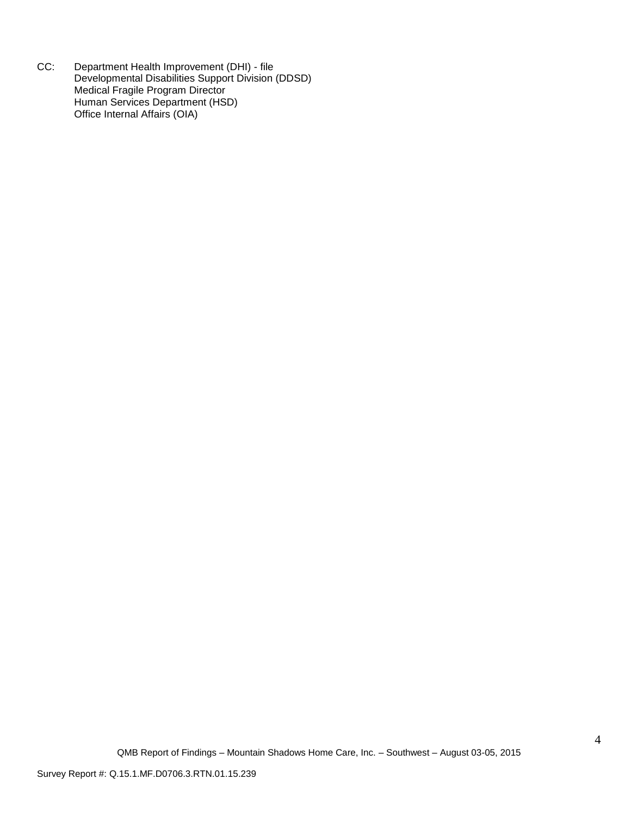CC: Department Health Improvement (DHI) - file Developmental Disabilities Support Division (DDSD) Medical Fragile Program Director Human Services Department (HSD) Office Internal Affairs (OIA)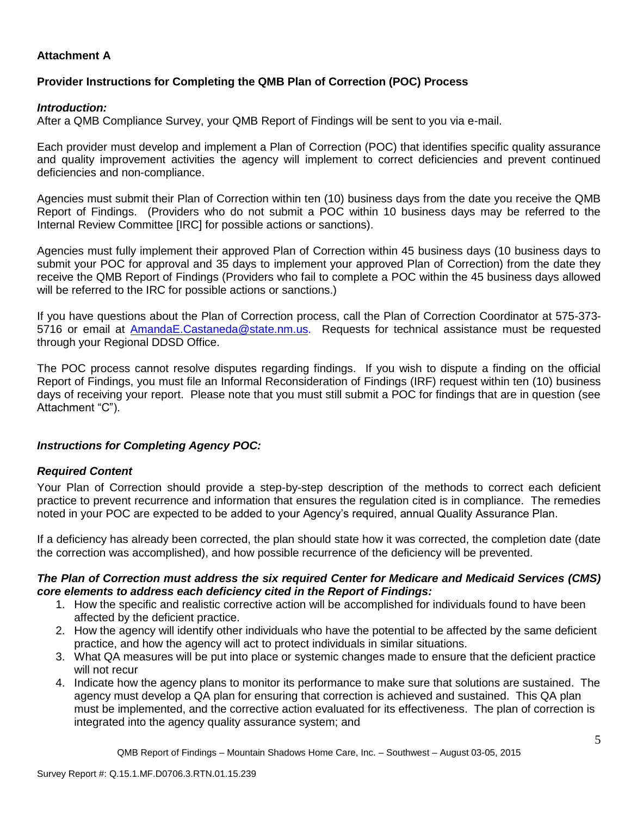#### **Attachment A**

## **Provider Instructions for Completing the QMB Plan of Correction (POC) Process**

### *Introduction:*

After a QMB Compliance Survey, your QMB Report of Findings will be sent to you via e-mail.

Each provider must develop and implement a Plan of Correction (POC) that identifies specific quality assurance and quality improvement activities the agency will implement to correct deficiencies and prevent continued deficiencies and non-compliance.

Agencies must submit their Plan of Correction within ten (10) business days from the date you receive the QMB Report of Findings. (Providers who do not submit a POC within 10 business days may be referred to the Internal Review Committee [IRC] for possible actions or sanctions).

Agencies must fully implement their approved Plan of Correction within 45 business days (10 business days to submit your POC for approval and 35 days to implement your approved Plan of Correction) from the date they receive the QMB Report of Findings (Providers who fail to complete a POC within the 45 business days allowed will be referred to the IRC for possible actions or sanctions.)

If you have questions about the Plan of Correction process, call the Plan of Correction Coordinator at 575-373- 5716 or email at AmandaE.Castaneda@state.nm.us. Requests for technical assistance must be requested through your Regional DDSD Office.

The POC process cannot resolve disputes regarding findings. If you wish to dispute a finding on the official Report of Findings, you must file an Informal Reconsideration of Findings (IRF) request within ten (10) business days of receiving your report. Please note that you must still submit a POC for findings that are in question (see Attachment "C").

### *Instructions for Completing Agency POC:*

### *Required Content*

Your Plan of Correction should provide a step-by-step description of the methods to correct each deficient practice to prevent recurrence and information that ensures the regulation cited is in compliance. The remedies noted in your POC are expected to be added to your Agency's required, annual Quality Assurance Plan.

If a deficiency has already been corrected, the plan should state how it was corrected, the completion date (date the correction was accomplished), and how possible recurrence of the deficiency will be prevented.

#### *The Plan of Correction must address the six required Center for Medicare and Medicaid Services (CMS) core elements to address each deficiency cited in the Report of Findings:*

- 1. How the specific and realistic corrective action will be accomplished for individuals found to have been affected by the deficient practice.
- 2. How the agency will identify other individuals who have the potential to be affected by the same deficient practice, and how the agency will act to protect individuals in similar situations.
- 3. What QA measures will be put into place or systemic changes made to ensure that the deficient practice will not recur
- 4. Indicate how the agency plans to monitor its performance to make sure that solutions are sustained. The agency must develop a QA plan for ensuring that correction is achieved and sustained. This QA plan must be implemented, and the corrective action evaluated for its effectiveness. The plan of correction is integrated into the agency quality assurance system; and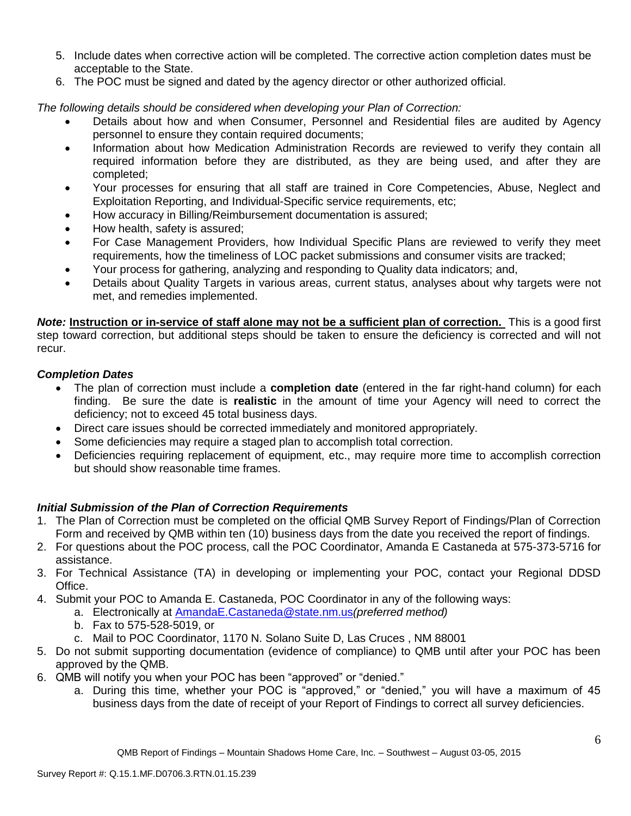- 5. Include dates when corrective action will be completed. The corrective action completion dates must be acceptable to the State.
- 6. The POC must be signed and dated by the agency director or other authorized official.

*The following details should be considered when developing your Plan of Correction:*

- Details about how and when Consumer, Personnel and Residential files are audited by Agency personnel to ensure they contain required documents;
- Information about how Medication Administration Records are reviewed to verify they contain all required information before they are distributed, as they are being used, and after they are completed;
- Your processes for ensuring that all staff are trained in Core Competencies, Abuse, Neglect and Exploitation Reporting, and Individual-Specific service requirements, etc;
- How accuracy in Billing/Reimbursement documentation is assured;
- How health, safety is assured;
- For Case Management Providers, how Individual Specific Plans are reviewed to verify they meet requirements, how the timeliness of LOC packet submissions and consumer visits are tracked;
- Your process for gathering, analyzing and responding to Quality data indicators; and,
- Details about Quality Targets in various areas, current status, analyses about why targets were not met, and remedies implemented.

*Note:* **Instruction or in-service of staff alone may not be a sufficient plan of correction.** This is a good first step toward correction, but additional steps should be taken to ensure the deficiency is corrected and will not recur.

# *Completion Dates*

- The plan of correction must include a **completion date** (entered in the far right-hand column) for each finding. Be sure the date is **realistic** in the amount of time your Agency will need to correct the deficiency; not to exceed 45 total business days.
- Direct care issues should be corrected immediately and monitored appropriately.
- Some deficiencies may require a staged plan to accomplish total correction.
- Deficiencies requiring replacement of equipment, etc., may require more time to accomplish correction but should show reasonable time frames.

# *Initial Submission of the Plan of Correction Requirements*

- 1. The Plan of Correction must be completed on the official QMB Survey Report of Findings/Plan of Correction Form and received by QMB within ten (10) business days from the date you received the report of findings.
- 2. For questions about the POC process, call the POC Coordinator, Amanda E Castaneda at 575-373-5716 for assistance.
- 3. For Technical Assistance (TA) in developing or implementing your POC, contact your Regional DDSD Office.
- 4. Submit your POC to Amanda E. Castaneda, POC Coordinator in any of the following ways:
	- a. Electronically at AmandaE.Castaneda@state.nm.us*(preferred method)*
	- b. Fax to 575-528-5019, or
	- c. Mail to POC Coordinator, 1170 N. Solano Suite D, Las Cruces , NM 88001
- 5. Do not submit supporting documentation (evidence of compliance) to QMB until after your POC has been approved by the QMB.
- 6. QMB will notify you when your POC has been "approved" or "denied."
	- a. During this time, whether your POC is "approved," or "denied," you will have a maximum of 45 business days from the date of receipt of your Report of Findings to correct all survey deficiencies.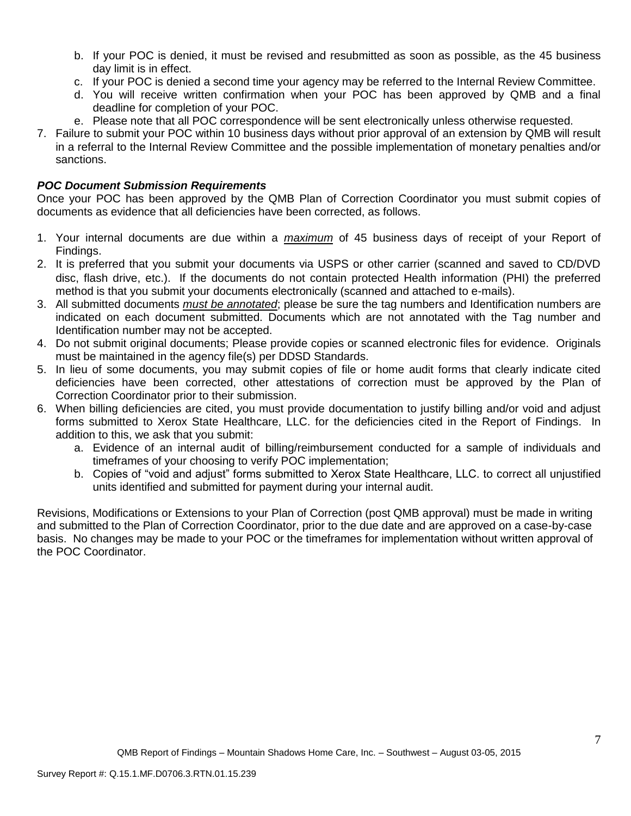- b. If your POC is denied, it must be revised and resubmitted as soon as possible, as the 45 business day limit is in effect.
- c. If your POC is denied a second time your agency may be referred to the Internal Review Committee.
- d. You will receive written confirmation when your POC has been approved by QMB and a final deadline for completion of your POC.
- e. Please note that all POC correspondence will be sent electronically unless otherwise requested.
- 7. Failure to submit your POC within 10 business days without prior approval of an extension by QMB will result in a referral to the Internal Review Committee and the possible implementation of monetary penalties and/or sanctions.

### *POC Document Submission Requirements*

Once your POC has been approved by the QMB Plan of Correction Coordinator you must submit copies of documents as evidence that all deficiencies have been corrected, as follows.

- 1. Your internal documents are due within a *maximum* of 45 business days of receipt of your Report of Findings.
- 2. It is preferred that you submit your documents via USPS or other carrier (scanned and saved to CD/DVD disc, flash drive, etc.). If the documents do not contain protected Health information (PHI) the preferred method is that you submit your documents electronically (scanned and attached to e-mails).
- 3. All submitted documents *must be annotated*; please be sure the tag numbers and Identification numbers are indicated on each document submitted. Documents which are not annotated with the Tag number and Identification number may not be accepted.
- 4. Do not submit original documents; Please provide copies or scanned electronic files for evidence. Originals must be maintained in the agency file(s) per DDSD Standards.
- 5. In lieu of some documents, you may submit copies of file or home audit forms that clearly indicate cited deficiencies have been corrected, other attestations of correction must be approved by the Plan of Correction Coordinator prior to their submission.
- 6. When billing deficiencies are cited, you must provide documentation to justify billing and/or void and adjust forms submitted to Xerox State Healthcare, LLC. for the deficiencies cited in the Report of Findings. In addition to this, we ask that you submit:
	- a. Evidence of an internal audit of billing/reimbursement conducted for a sample of individuals and timeframes of your choosing to verify POC implementation;
	- b. Copies of "void and adjust" forms submitted to Xerox State Healthcare, LLC. to correct all unjustified units identified and submitted for payment during your internal audit.

Revisions, Modifications or Extensions to your Plan of Correction (post QMB approval) must be made in writing and submitted to the Plan of Correction Coordinator, prior to the due date and are approved on a case-by-case basis. No changes may be made to your POC or the timeframes for implementation without written approval of the POC Coordinator.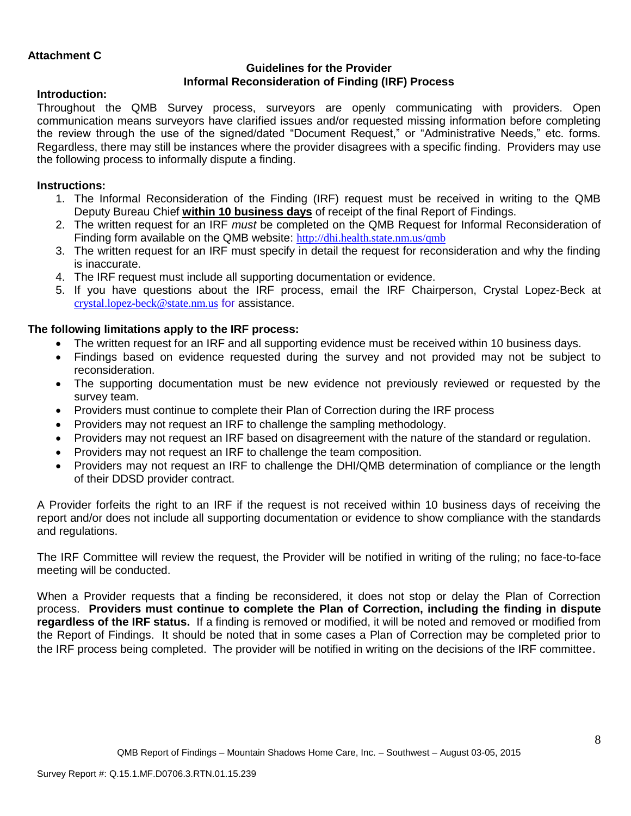## **Guidelines for the Provider Informal Reconsideration of Finding (IRF) Process**

### **Introduction:**

Throughout the QMB Survey process, surveyors are openly communicating with providers. Open communication means surveyors have clarified issues and/or requested missing information before completing the review through the use of the signed/dated "Document Request," or "Administrative Needs," etc. forms. Regardless, there may still be instances where the provider disagrees with a specific finding. Providers may use the following process to informally dispute a finding.

### **Instructions:**

- 1. The Informal Reconsideration of the Finding (IRF) request must be received in writing to the QMB Deputy Bureau Chief **within 10 business days** of receipt of the final Report of Findings.
- 2. The written request for an IRF *must* be completed on the QMB Request for Informal Reconsideration of Finding form available on the QMB website: <http://dhi.health.state.nm.us/qmb>
- 3. The written request for an IRF must specify in detail the request for reconsideration and why the finding is inaccurate.
- 4. The IRF request must include all supporting documentation or evidence.
- 5. If you have questions about the IRF process, email the IRF Chairperson, Crystal Lopez-Beck at [crystal.lopez-beck@state.nm.us](mailto:crystal.lopez-beck@state.nm.us) for assistance.

### **The following limitations apply to the IRF process:**

- The written request for an IRF and all supporting evidence must be received within 10 business days.
- Findings based on evidence requested during the survey and not provided may not be subject to reconsideration.
- The supporting documentation must be new evidence not previously reviewed or requested by the survey team.
- Providers must continue to complete their Plan of Correction during the IRF process
- Providers may not request an IRF to challenge the sampling methodology.
- Providers may not request an IRF based on disagreement with the nature of the standard or regulation.
- Providers may not request an IRF to challenge the team composition.
- Providers may not request an IRF to challenge the DHI/QMB determination of compliance or the length of their DDSD provider contract.

A Provider forfeits the right to an IRF if the request is not received within 10 business days of receiving the report and/or does not include all supporting documentation or evidence to show compliance with the standards and regulations.

The IRF Committee will review the request, the Provider will be notified in writing of the ruling; no face-to-face meeting will be conducted.

When a Provider requests that a finding be reconsidered, it does not stop or delay the Plan of Correction process. **Providers must continue to complete the Plan of Correction, including the finding in dispute regardless of the IRF status.** If a finding is removed or modified, it will be noted and removed or modified from the Report of Findings. It should be noted that in some cases a Plan of Correction may be completed prior to the IRF process being completed. The provider will be notified in writing on the decisions of the IRF committee.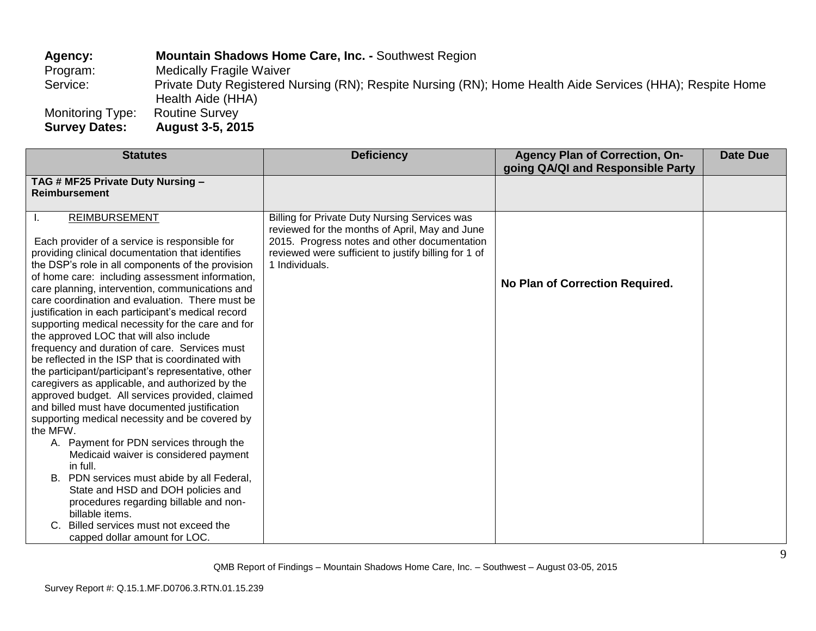Agency: **Mountain Shadows Home Care, Inc. -** Southwest Region Program: Medically Fragile Waiver **Medically Fragile Waiver** Service: Private Duty Registered Nursing (RN); Respite Nursing (RN); Home Health Aide Services (HHA); Respite Home Health Aide (HHA) Monitoring Type: Routine Survey **Survey Dates: August 3-5, 2015**

| <b>Statutes</b>                                                                                                                                                                                                                                                                                                                                                                                                                                                                                                                                                                                                                                                                                                                                                                                                                                                                                                                                                                                                                                                                                                                                                                                         | <b>Deficiency</b>                                                                                                                                                                                                         | <b>Agency Plan of Correction, On-</b><br>going QA/QI and Responsible Party | <b>Date Due</b> |
|---------------------------------------------------------------------------------------------------------------------------------------------------------------------------------------------------------------------------------------------------------------------------------------------------------------------------------------------------------------------------------------------------------------------------------------------------------------------------------------------------------------------------------------------------------------------------------------------------------------------------------------------------------------------------------------------------------------------------------------------------------------------------------------------------------------------------------------------------------------------------------------------------------------------------------------------------------------------------------------------------------------------------------------------------------------------------------------------------------------------------------------------------------------------------------------------------------|---------------------------------------------------------------------------------------------------------------------------------------------------------------------------------------------------------------------------|----------------------------------------------------------------------------|-----------------|
| TAG # MF25 Private Duty Nursing -<br><b>Reimbursement</b>                                                                                                                                                                                                                                                                                                                                                                                                                                                                                                                                                                                                                                                                                                                                                                                                                                                                                                                                                                                                                                                                                                                                               |                                                                                                                                                                                                                           |                                                                            |                 |
| <b>REIMBURSEMENT</b><br>Each provider of a service is responsible for<br>providing clinical documentation that identifies<br>the DSP's role in all components of the provision<br>of home care: including assessment information,<br>care planning, intervention, communications and<br>care coordination and evaluation. There must be<br>justification in each participant's medical record<br>supporting medical necessity for the care and for<br>the approved LOC that will also include<br>frequency and duration of care. Services must<br>be reflected in the ISP that is coordinated with<br>the participant/participant's representative, other<br>caregivers as applicable, and authorized by the<br>approved budget. All services provided, claimed<br>and billed must have documented justification<br>supporting medical necessity and be covered by<br>the MFW.<br>A. Payment for PDN services through the<br>Medicaid waiver is considered payment<br>in full.<br>B. PDN services must abide by all Federal,<br>State and HSD and DOH policies and<br>procedures regarding billable and non-<br>billable items.<br>Billed services must not exceed the<br>capped dollar amount for LOC. | Billing for Private Duty Nursing Services was<br>reviewed for the months of April, May and June<br>2015. Progress notes and other documentation<br>reviewed were sufficient to justify billing for 1 of<br>1 Individuals. | No Plan of Correction Required.                                            |                 |

QMB Report of Findings – Mountain Shadows Home Care, Inc. – Southwest – August 03-05, 2015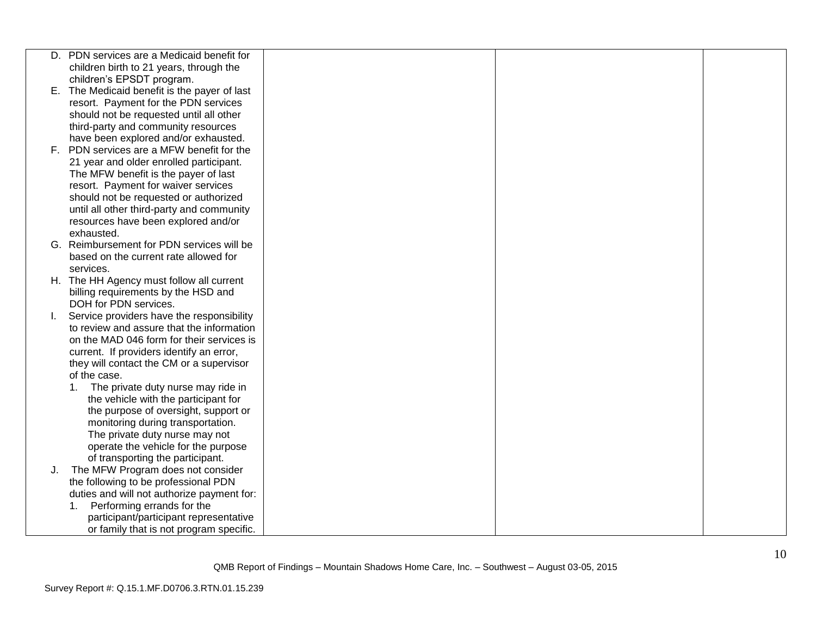|    | D. PDN services are a Medicaid benefit for   |  |  |
|----|----------------------------------------------|--|--|
|    | children birth to 21 years, through the      |  |  |
|    | children's EPSDT program.                    |  |  |
|    | E. The Medicaid benefit is the payer of last |  |  |
|    | resort. Payment for the PDN services         |  |  |
|    | should not be requested until all other      |  |  |
|    | third-party and community resources          |  |  |
|    | have been explored and/or exhausted.         |  |  |
|    | F. PDN services are a MFW benefit for the    |  |  |
|    | 21 year and older enrolled participant.      |  |  |
|    | The MFW benefit is the payer of last         |  |  |
|    | resort. Payment for waiver services          |  |  |
|    | should not be requested or authorized        |  |  |
|    | until all other third-party and community    |  |  |
|    | resources have been explored and/or          |  |  |
|    | exhausted.                                   |  |  |
|    | G. Reimbursement for PDN services will be    |  |  |
|    | based on the current rate allowed for        |  |  |
|    | services.                                    |  |  |
|    | H. The HH Agency must follow all current     |  |  |
|    | billing requirements by the HSD and          |  |  |
|    | DOH for PDN services.                        |  |  |
| L. | Service providers have the responsibility    |  |  |
|    | to review and assure that the information    |  |  |
|    | on the MAD 046 form for their services is    |  |  |
|    | current. If providers identify an error,     |  |  |
|    | they will contact the CM or a supervisor     |  |  |
|    | of the case.                                 |  |  |
|    | The private duty nurse may ride in           |  |  |
|    | the vehicle with the participant for         |  |  |
|    | the purpose of oversight, support or         |  |  |
|    | monitoring during transportation.            |  |  |
|    | The private duty nurse may not               |  |  |
|    | operate the vehicle for the purpose          |  |  |
|    | of transporting the participant.             |  |  |
| J. | The MFW Program does not consider            |  |  |
|    | the following to be professional PDN         |  |  |
|    | duties and will not authorize payment for:   |  |  |
|    | Performing errands for the<br>1.             |  |  |
|    | participant/participant representative       |  |  |
|    | or family that is not program specific.      |  |  |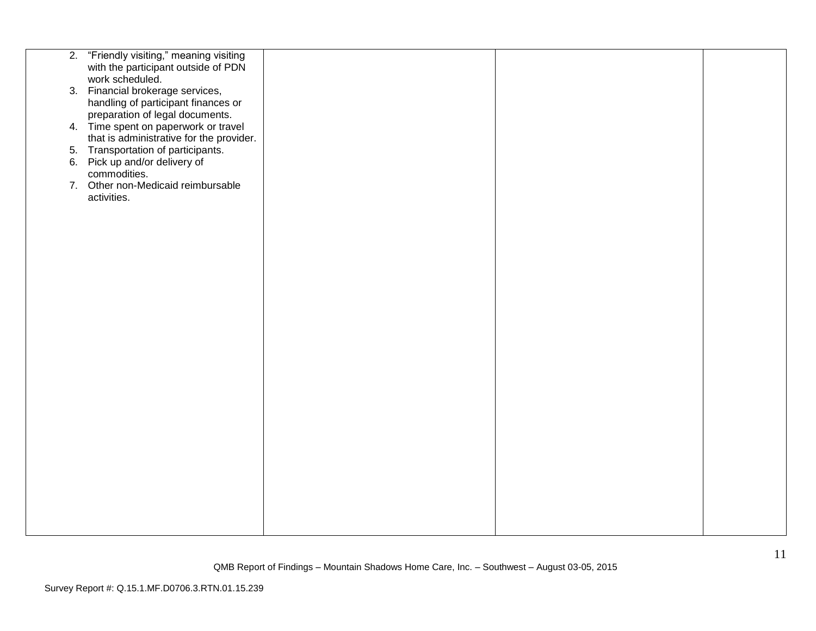| 2. "Friendly visiting," meaning visiting |  |  |
|------------------------------------------|--|--|
| with the participant outside of PDN      |  |  |
| work scheduled.                          |  |  |
| 3. Financial brokerage services,         |  |  |
| handling of participant finances or      |  |  |
| preparation of legal documents.          |  |  |
| 4. Time spent on paperwork or travel     |  |  |
| that is administrative for the provider. |  |  |
| 5. Transportation of participants.       |  |  |
| 6. Pick up and/or delivery of            |  |  |
| commodities.                             |  |  |
| 7. Other non-Medicaid reimbursable       |  |  |
| activities.                              |  |  |
|                                          |  |  |
|                                          |  |  |
|                                          |  |  |
|                                          |  |  |
|                                          |  |  |
|                                          |  |  |
|                                          |  |  |
|                                          |  |  |
|                                          |  |  |
|                                          |  |  |
|                                          |  |  |
|                                          |  |  |
|                                          |  |  |
|                                          |  |  |
|                                          |  |  |
|                                          |  |  |
|                                          |  |  |
|                                          |  |  |
|                                          |  |  |
|                                          |  |  |
|                                          |  |  |
|                                          |  |  |
|                                          |  |  |
|                                          |  |  |
|                                          |  |  |
|                                          |  |  |
|                                          |  |  |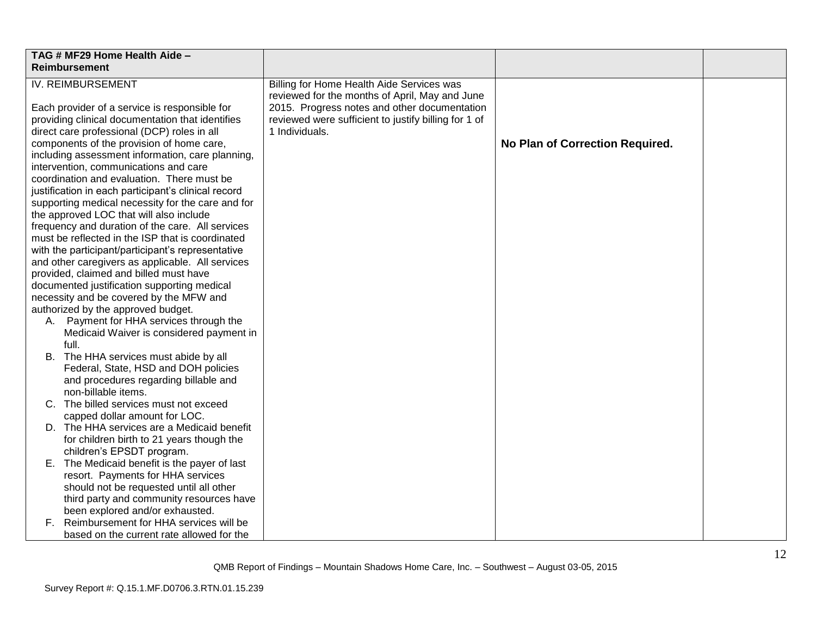|                                                                                                                                                                                                                                                                                                                                                                                                                                                                                                 | TAG # MF29 Home Health Aide -<br>Reimbursement                                                        |                                                                                                                                                                          |                                 |  |
|-------------------------------------------------------------------------------------------------------------------------------------------------------------------------------------------------------------------------------------------------------------------------------------------------------------------------------------------------------------------------------------------------------------------------------------------------------------------------------------------------|-------------------------------------------------------------------------------------------------------|--------------------------------------------------------------------------------------------------------------------------------------------------------------------------|---------------------------------|--|
| <b>IV. REIMBURSEMENT</b>                                                                                                                                                                                                                                                                                                                                                                                                                                                                        |                                                                                                       | Billing for Home Health Aide Services was                                                                                                                                |                                 |  |
| Each provider of a service is responsible for<br>providing clinical documentation that identifies<br>direct care professional (DCP) roles in all<br>components of the provision of home care,<br>including assessment information, care planning,<br>intervention, communications and care<br>coordination and evaluation. There must be<br>justification in each participant's clinical record<br>supporting medical necessity for the care and for<br>the approved LOC that will also include |                                                                                                       | reviewed for the months of April, May and June<br>2015. Progress notes and other documentation<br>reviewed were sufficient to justify billing for 1 of<br>1 Individuals. | No Plan of Correction Required. |  |
|                                                                                                                                                                                                                                                                                                                                                                                                                                                                                                 | frequency and duration of the care. All services                                                      |                                                                                                                                                                          |                                 |  |
|                                                                                                                                                                                                                                                                                                                                                                                                                                                                                                 | must be reflected in the ISP that is coordinated                                                      |                                                                                                                                                                          |                                 |  |
|                                                                                                                                                                                                                                                                                                                                                                                                                                                                                                 | with the participant/participant's representative<br>and other caregivers as applicable. All services |                                                                                                                                                                          |                                 |  |
|                                                                                                                                                                                                                                                                                                                                                                                                                                                                                                 | provided, claimed and billed must have                                                                |                                                                                                                                                                          |                                 |  |
|                                                                                                                                                                                                                                                                                                                                                                                                                                                                                                 | documented justification supporting medical                                                           |                                                                                                                                                                          |                                 |  |
|                                                                                                                                                                                                                                                                                                                                                                                                                                                                                                 | necessity and be covered by the MFW and                                                               |                                                                                                                                                                          |                                 |  |
|                                                                                                                                                                                                                                                                                                                                                                                                                                                                                                 | authorized by the approved budget.<br>A. Payment for HHA services through the                         |                                                                                                                                                                          |                                 |  |
|                                                                                                                                                                                                                                                                                                                                                                                                                                                                                                 | Medicaid Waiver is considered payment in                                                              |                                                                                                                                                                          |                                 |  |
|                                                                                                                                                                                                                                                                                                                                                                                                                                                                                                 | full.                                                                                                 |                                                                                                                                                                          |                                 |  |
|                                                                                                                                                                                                                                                                                                                                                                                                                                                                                                 | B. The HHA services must abide by all                                                                 |                                                                                                                                                                          |                                 |  |
|                                                                                                                                                                                                                                                                                                                                                                                                                                                                                                 | Federal, State, HSD and DOH policies                                                                  |                                                                                                                                                                          |                                 |  |
|                                                                                                                                                                                                                                                                                                                                                                                                                                                                                                 | and procedures regarding billable and<br>non-billable items.                                          |                                                                                                                                                                          |                                 |  |
|                                                                                                                                                                                                                                                                                                                                                                                                                                                                                                 | C. The billed services must not exceed                                                                |                                                                                                                                                                          |                                 |  |
|                                                                                                                                                                                                                                                                                                                                                                                                                                                                                                 | capped dollar amount for LOC.                                                                         |                                                                                                                                                                          |                                 |  |
|                                                                                                                                                                                                                                                                                                                                                                                                                                                                                                 | D. The HHA services are a Medicaid benefit                                                            |                                                                                                                                                                          |                                 |  |
|                                                                                                                                                                                                                                                                                                                                                                                                                                                                                                 | for children birth to 21 years though the                                                             |                                                                                                                                                                          |                                 |  |
|                                                                                                                                                                                                                                                                                                                                                                                                                                                                                                 | children's EPSDT program.                                                                             |                                                                                                                                                                          |                                 |  |
|                                                                                                                                                                                                                                                                                                                                                                                                                                                                                                 | E. The Medicaid benefit is the payer of last                                                          |                                                                                                                                                                          |                                 |  |
|                                                                                                                                                                                                                                                                                                                                                                                                                                                                                                 | resort. Payments for HHA services                                                                     |                                                                                                                                                                          |                                 |  |
|                                                                                                                                                                                                                                                                                                                                                                                                                                                                                                 | should not be requested until all other                                                               |                                                                                                                                                                          |                                 |  |
|                                                                                                                                                                                                                                                                                                                                                                                                                                                                                                 | third party and community resources have<br>been explored and/or exhausted.                           |                                                                                                                                                                          |                                 |  |
|                                                                                                                                                                                                                                                                                                                                                                                                                                                                                                 | F. Reimbursement for HHA services will be                                                             |                                                                                                                                                                          |                                 |  |
|                                                                                                                                                                                                                                                                                                                                                                                                                                                                                                 | based on the current rate allowed for the                                                             |                                                                                                                                                                          |                                 |  |
|                                                                                                                                                                                                                                                                                                                                                                                                                                                                                                 |                                                                                                       |                                                                                                                                                                          |                                 |  |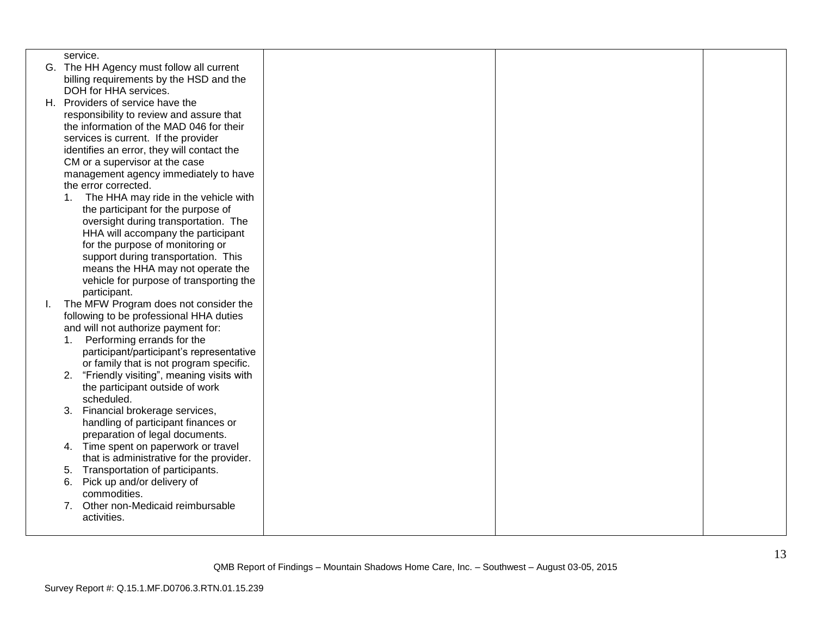|    | service.                                               |  |  |
|----|--------------------------------------------------------|--|--|
|    | G. The HH Agency must follow all current               |  |  |
|    | billing requirements by the HSD and the                |  |  |
|    | DOH for HHA services.                                  |  |  |
|    | H. Providers of service have the                       |  |  |
|    | responsibility to review and assure that               |  |  |
|    | the information of the MAD 046 for their               |  |  |
|    | services is current. If the provider                   |  |  |
|    | identifies an error, they will contact the             |  |  |
|    | CM or a supervisor at the case                         |  |  |
|    | management agency immediately to have                  |  |  |
|    | the error corrected.                                   |  |  |
|    | The HHA may ride in the vehicle with<br>1 <sub>1</sub> |  |  |
|    | the participant for the purpose of                     |  |  |
|    | oversight during transportation. The                   |  |  |
|    | HHA will accompany the participant                     |  |  |
|    | for the purpose of monitoring or                       |  |  |
|    | support during transportation. This                    |  |  |
|    | means the HHA may not operate the                      |  |  |
|    | vehicle for purpose of transporting the                |  |  |
|    | participant.                                           |  |  |
| Ι. | The MFW Program does not consider the                  |  |  |
|    | following to be professional HHA duties                |  |  |
|    | and will not authorize payment for:                    |  |  |
|    | Performing errands for the<br>1.                       |  |  |
|    | participant/participant's representative               |  |  |
|    | or family that is not program specific.                |  |  |
|    | "Friendly visiting", meaning visits with<br>2.         |  |  |
|    | the participant outside of work                        |  |  |
|    | scheduled.                                             |  |  |
|    | Financial brokerage services,<br>3.                    |  |  |
|    | handling of participant finances or                    |  |  |
|    | preparation of legal documents.                        |  |  |
|    | 4. Time spent on paperwork or travel                   |  |  |
|    | that is administrative for the provider.               |  |  |
|    | Transportation of participants.<br>5.                  |  |  |
|    | Pick up and/or delivery of<br>6.                       |  |  |
|    | commodities.<br>Other non-Medicaid reimbursable        |  |  |
|    | 7.                                                     |  |  |
|    | activities.                                            |  |  |
|    |                                                        |  |  |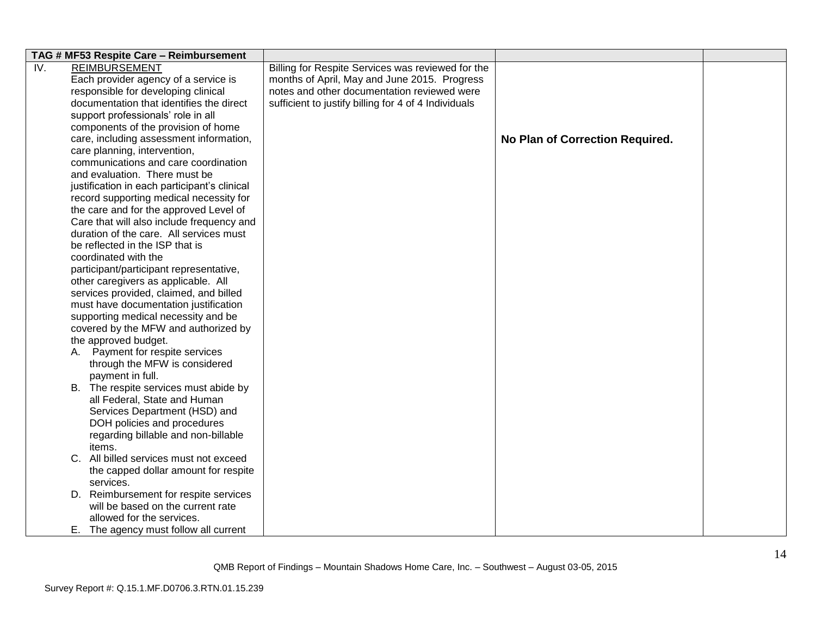|     | TAG # MF53 Respite Care - Reimbursement      |                                                      |                                 |  |
|-----|----------------------------------------------|------------------------------------------------------|---------------------------------|--|
| IV. | <b>REIMBURSEMENT</b>                         | Billing for Respite Services was reviewed for the    |                                 |  |
|     | Each provider agency of a service is         | months of April, May and June 2015. Progress         |                                 |  |
|     | responsible for developing clinical          | notes and other documentation reviewed were          |                                 |  |
|     | documentation that identifies the direct     | sufficient to justify billing for 4 of 4 Individuals |                                 |  |
|     | support professionals' role in all           |                                                      |                                 |  |
|     | components of the provision of home          |                                                      |                                 |  |
|     | care, including assessment information,      |                                                      | No Plan of Correction Required. |  |
|     | care planning, intervention,                 |                                                      |                                 |  |
|     | communications and care coordination         |                                                      |                                 |  |
|     | and evaluation. There must be                |                                                      |                                 |  |
|     | justification in each participant's clinical |                                                      |                                 |  |
|     | record supporting medical necessity for      |                                                      |                                 |  |
|     | the care and for the approved Level of       |                                                      |                                 |  |
|     | Care that will also include frequency and    |                                                      |                                 |  |
|     | duration of the care. All services must      |                                                      |                                 |  |
|     | be reflected in the ISP that is              |                                                      |                                 |  |
|     | coordinated with the                         |                                                      |                                 |  |
|     | participant/participant representative,      |                                                      |                                 |  |
|     | other caregivers as applicable. All          |                                                      |                                 |  |
|     | services provided, claimed, and billed       |                                                      |                                 |  |
|     | must have documentation justification        |                                                      |                                 |  |
|     | supporting medical necessity and be          |                                                      |                                 |  |
|     | covered by the MFW and authorized by         |                                                      |                                 |  |
|     | the approved budget.                         |                                                      |                                 |  |
|     | A. Payment for respite services              |                                                      |                                 |  |
|     | through the MFW is considered                |                                                      |                                 |  |
|     | payment in full.                             |                                                      |                                 |  |
|     | B. The respite services must abide by        |                                                      |                                 |  |
|     | all Federal, State and Human                 |                                                      |                                 |  |
|     | Services Department (HSD) and                |                                                      |                                 |  |
|     | DOH policies and procedures                  |                                                      |                                 |  |
|     | regarding billable and non-billable          |                                                      |                                 |  |
|     | items.                                       |                                                      |                                 |  |
|     | C. All billed services must not exceed       |                                                      |                                 |  |
|     | the capped dollar amount for respite         |                                                      |                                 |  |
|     | services.                                    |                                                      |                                 |  |
|     | D. Reimbursement for respite services        |                                                      |                                 |  |
|     | will be based on the current rate            |                                                      |                                 |  |
|     | allowed for the services.                    |                                                      |                                 |  |
|     | E. The agency must follow all current        |                                                      |                                 |  |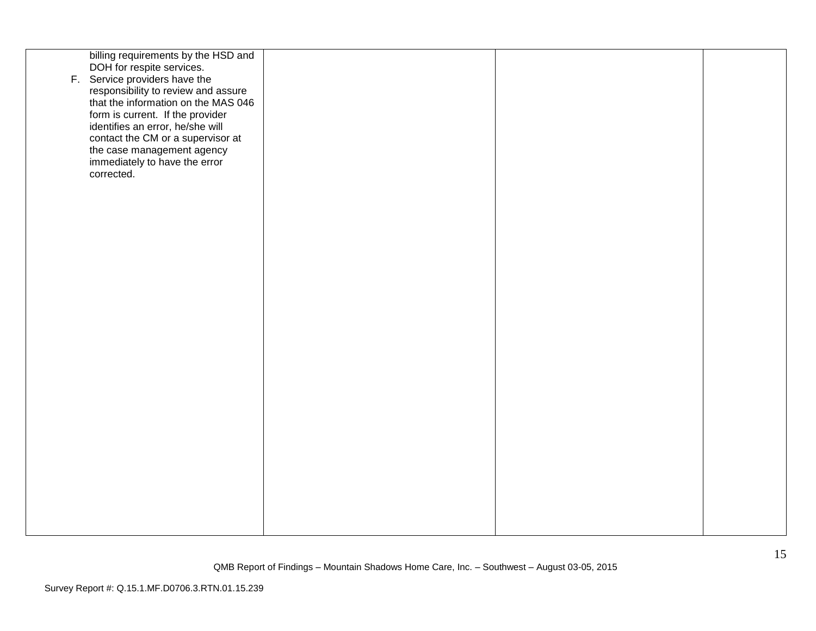| billing requirements by the HSD and |  |  |
|-------------------------------------|--|--|
| DOH for respite services.           |  |  |
|                                     |  |  |
| F. Service providers have the       |  |  |
| responsibility to review and assure |  |  |
|                                     |  |  |
| that the information on the MAS 046 |  |  |
| form is current. If the provider    |  |  |
|                                     |  |  |
| identifies an error, he/she will    |  |  |
|                                     |  |  |
| contact the CM or a supervisor at   |  |  |
| the case management agency          |  |  |
| immediately to have the error       |  |  |
|                                     |  |  |
| corrected.                          |  |  |
|                                     |  |  |
|                                     |  |  |
|                                     |  |  |
|                                     |  |  |
|                                     |  |  |
|                                     |  |  |
|                                     |  |  |
|                                     |  |  |
|                                     |  |  |
|                                     |  |  |
|                                     |  |  |
|                                     |  |  |
|                                     |  |  |
|                                     |  |  |
|                                     |  |  |
|                                     |  |  |
|                                     |  |  |
|                                     |  |  |
|                                     |  |  |
|                                     |  |  |
|                                     |  |  |
|                                     |  |  |
|                                     |  |  |
|                                     |  |  |
|                                     |  |  |
|                                     |  |  |
|                                     |  |  |
|                                     |  |  |
|                                     |  |  |
|                                     |  |  |
|                                     |  |  |
|                                     |  |  |
|                                     |  |  |
|                                     |  |  |
|                                     |  |  |
|                                     |  |  |
|                                     |  |  |
|                                     |  |  |
|                                     |  |  |
|                                     |  |  |
|                                     |  |  |
|                                     |  |  |
|                                     |  |  |
|                                     |  |  |
|                                     |  |  |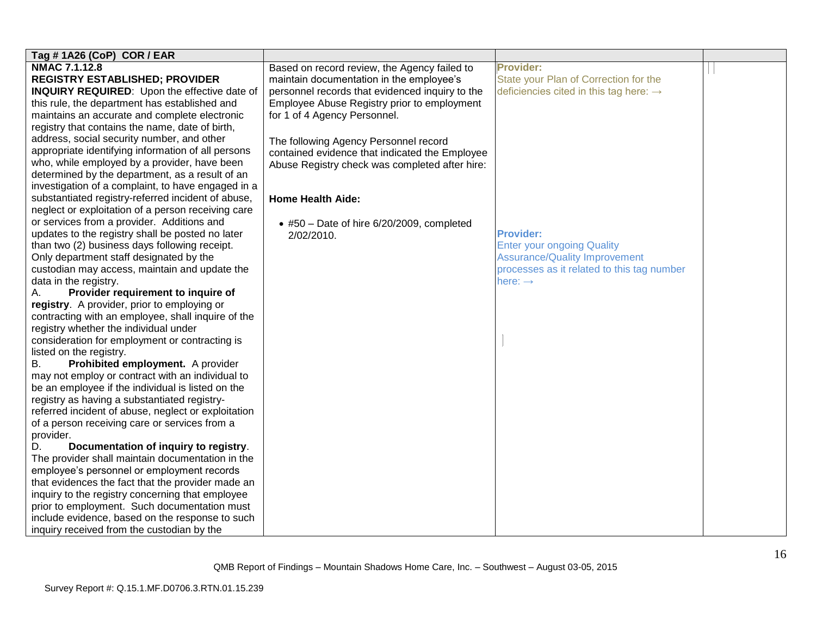| Tag # 1A26 (CoP) COR / EAR                          |                                                 |                                                    |  |
|-----------------------------------------------------|-------------------------------------------------|----------------------------------------------------|--|
| <b>NMAC 7.1.12.8</b>                                | Based on record review, the Agency failed to    | <b>Provider:</b>                                   |  |
| <b>REGISTRY ESTABLISHED; PROVIDER</b>               | maintain documentation in the employee's        | State your Plan of Correction for the              |  |
| <b>INQUIRY REQUIRED:</b> Upon the effective date of | personnel records that evidenced inquiry to the | deficiencies cited in this tag here: $\rightarrow$ |  |
| this rule, the department has established and       | Employee Abuse Registry prior to employment     |                                                    |  |
| maintains an accurate and complete electronic       | for 1 of 4 Agency Personnel.                    |                                                    |  |
| registry that contains the name, date of birth,     |                                                 |                                                    |  |
| address, social security number, and other          | The following Agency Personnel record           |                                                    |  |
| appropriate identifying information of all persons  | contained evidence that indicated the Employee  |                                                    |  |
| who, while employed by a provider, have been        | Abuse Registry check was completed after hire:  |                                                    |  |
| determined by the department, as a result of an     |                                                 |                                                    |  |
| investigation of a complaint, to have engaged in a  |                                                 |                                                    |  |
| substantiated registry-referred incident of abuse,  | <b>Home Health Aide:</b>                        |                                                    |  |
| neglect or exploitation of a person receiving care  |                                                 |                                                    |  |
| or services from a provider. Additions and          | • #50 - Date of hire 6/20/2009, completed       |                                                    |  |
| updates to the registry shall be posted no later    | 2/02/2010.                                      | <b>Provider:</b>                                   |  |
| than two (2) business days following receipt.       |                                                 | <b>Enter your ongoing Quality</b>                  |  |
| Only department staff designated by the             |                                                 | <b>Assurance/Quality Improvement</b>               |  |
| custodian may access, maintain and update the       |                                                 | processes as it related to this tag number         |  |
| data in the registry.                               |                                                 | here: $\rightarrow$                                |  |
| Provider requirement to inquire of<br>А.            |                                                 |                                                    |  |
| registry. A provider, prior to employing or         |                                                 |                                                    |  |
| contracting with an employee, shall inquire of the  |                                                 |                                                    |  |
| registry whether the individual under               |                                                 |                                                    |  |
| consideration for employment or contracting is      |                                                 |                                                    |  |
| listed on the registry.                             |                                                 |                                                    |  |
| Prohibited employment. A provider<br>В.             |                                                 |                                                    |  |
| may not employ or contract with an individual to    |                                                 |                                                    |  |
| be an employee if the individual is listed on the   |                                                 |                                                    |  |
| registry as having a substantiated registry-        |                                                 |                                                    |  |
| referred incident of abuse, neglect or exploitation |                                                 |                                                    |  |
| of a person receiving care or services from a       |                                                 |                                                    |  |
| provider.                                           |                                                 |                                                    |  |
| Documentation of inquiry to registry.<br>D.         |                                                 |                                                    |  |
| The provider shall maintain documentation in the    |                                                 |                                                    |  |
| employee's personnel or employment records          |                                                 |                                                    |  |
| that evidences the fact that the provider made an   |                                                 |                                                    |  |
| inquiry to the registry concerning that employee    |                                                 |                                                    |  |
| prior to employment. Such documentation must        |                                                 |                                                    |  |
| include evidence, based on the response to such     |                                                 |                                                    |  |
| inquiry received from the custodian by the          |                                                 |                                                    |  |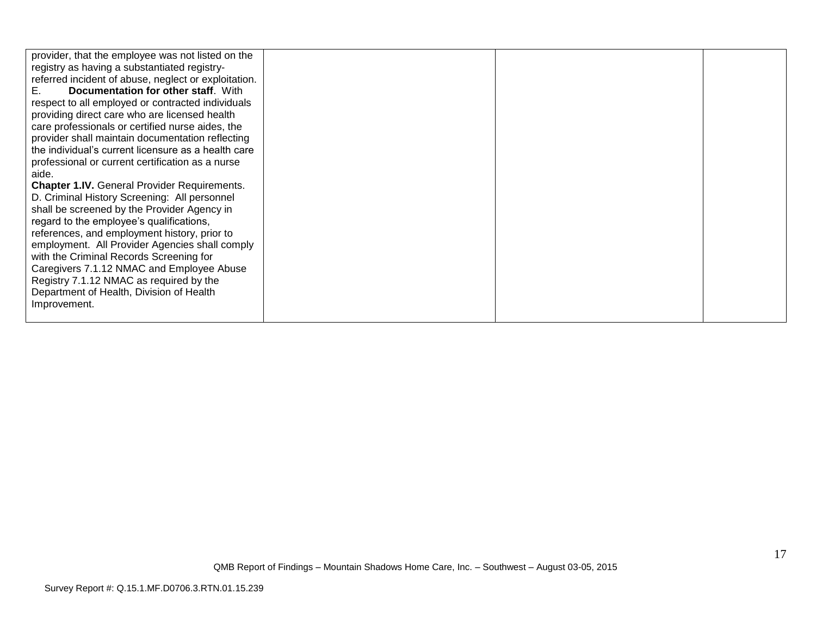| provider, that the employee was not listed on the<br>registry as having a substantiated registry-<br>referred incident of abuse, neglect or exploitation.<br>Documentation for other staff. With<br>Е.<br>respect to all employed or contracted individuals<br>providing direct care who are licensed health<br>care professionals or certified nurse aides, the<br>provider shall maintain documentation reflecting<br>the individual's current licensure as a health care<br>professional or current certification as a nurse<br>aide.<br><b>Chapter 1.IV.</b> General Provider Requirements.<br>D. Criminal History Screening: All personnel<br>shall be screened by the Provider Agency in<br>regard to the employee's qualifications,<br>references, and employment history, prior to<br>employment. All Provider Agencies shall comply<br>with the Criminal Records Screening for<br>Caregivers 7.1.12 NMAC and Employee Abuse<br>Registry 7.1.12 NMAC as required by the |  |  |
|---------------------------------------------------------------------------------------------------------------------------------------------------------------------------------------------------------------------------------------------------------------------------------------------------------------------------------------------------------------------------------------------------------------------------------------------------------------------------------------------------------------------------------------------------------------------------------------------------------------------------------------------------------------------------------------------------------------------------------------------------------------------------------------------------------------------------------------------------------------------------------------------------------------------------------------------------------------------------------|--|--|
| Department of Health, Division of Health<br>Improvement.                                                                                                                                                                                                                                                                                                                                                                                                                                                                                                                                                                                                                                                                                                                                                                                                                                                                                                                        |  |  |
|                                                                                                                                                                                                                                                                                                                                                                                                                                                                                                                                                                                                                                                                                                                                                                                                                                                                                                                                                                                 |  |  |